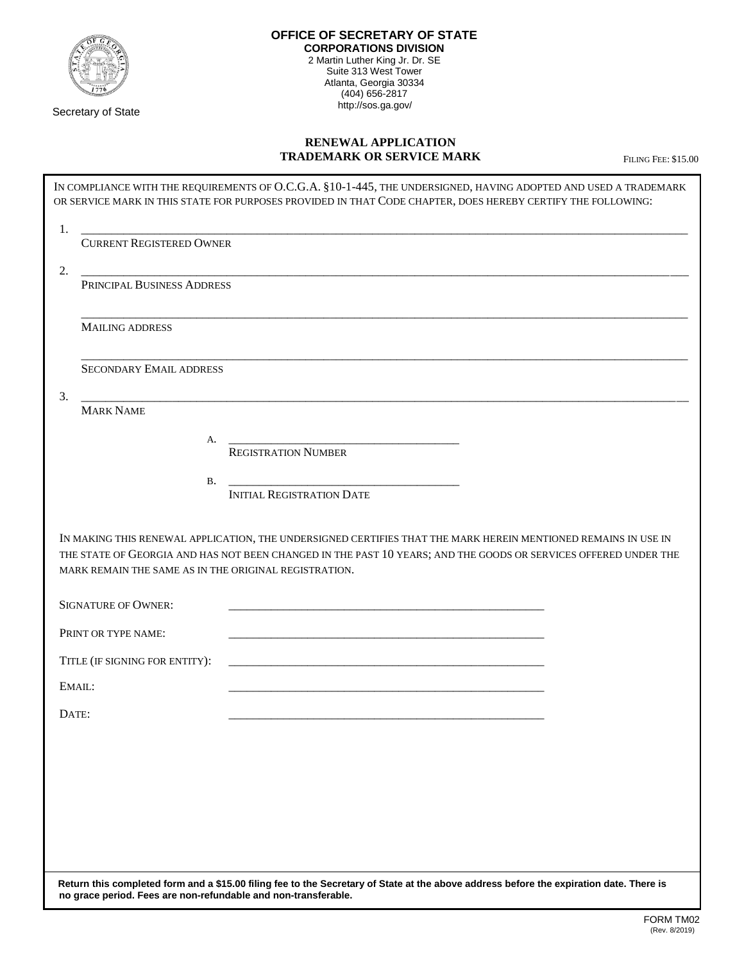

Secretary of State

## **OFFICE OF SECRETARY OF STATE CORPORATIONS DIVISION** 2 Martin Luther King Jr. Dr. SE Suite 313 West Tower Atlanta, Georgia 30334 (404) 656-2817<br>http://sos.ga.gov/

## **RENEWAL APPLICATION TRADEMARK OR SERVICE MARK** FILING FEE: \$15.00

| <b>CURRENT REGISTERED OWNER</b> |                                                                                                                                                                                                                                                                                                                                      |
|---------------------------------|--------------------------------------------------------------------------------------------------------------------------------------------------------------------------------------------------------------------------------------------------------------------------------------------------------------------------------------|
| PRINCIPAL BUSINESS ADDRESS      |                                                                                                                                                                                                                                                                                                                                      |
|                                 |                                                                                                                                                                                                                                                                                                                                      |
|                                 |                                                                                                                                                                                                                                                                                                                                      |
| <b>SECONDARY EMAIL ADDRESS</b>  |                                                                                                                                                                                                                                                                                                                                      |
|                                 |                                                                                                                                                                                                                                                                                                                                      |
|                                 |                                                                                                                                                                                                                                                                                                                                      |
| <b>REGISTRATION NUMBER</b>      |                                                                                                                                                                                                                                                                                                                                      |
| <b>B.</b>                       |                                                                                                                                                                                                                                                                                                                                      |
|                                 |                                                                                                                                                                                                                                                                                                                                      |
|                                 |                                                                                                                                                                                                                                                                                                                                      |
|                                 |                                                                                                                                                                                                                                                                                                                                      |
|                                 |                                                                                                                                                                                                                                                                                                                                      |
| TITLE (IF SIGNING FOR ENTITY):  |                                                                                                                                                                                                                                                                                                                                      |
|                                 |                                                                                                                                                                                                                                                                                                                                      |
|                                 |                                                                                                                                                                                                                                                                                                                                      |
|                                 |                                                                                                                                                                                                                                                                                                                                      |
|                                 |                                                                                                                                                                                                                                                                                                                                      |
|                                 |                                                                                                                                                                                                                                                                                                                                      |
|                                 |                                                                                                                                                                                                                                                                                                                                      |
|                                 | А.<br><b>INITIAL REGISTRATION DATE</b><br>IN MAKING THIS RENEWAL APPLICATION, THE UNDERSIGNED CERTIFIES THAT THE MARK HEREIN MENTIONED REMAINS IN USE IN<br>THE STATE OF GEORGIA AND HAS NOT BEEN CHANGED IN THE PAST 10 YEARS; AND THE GOODS OR SERVICES OFFERED UNDER THE<br>MARK REMAIN THE SAME AS IN THE ORIGINAL REGISTRATION. |